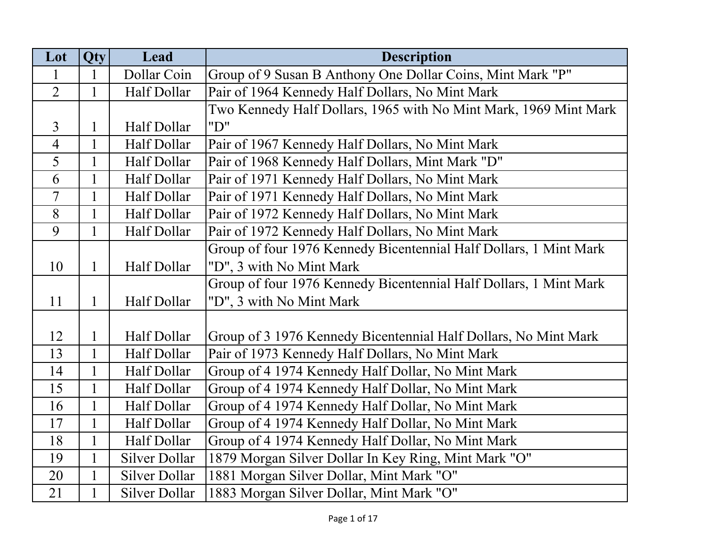| Lot            | Qty          | Lead                 | <b>Description</b>                                                |
|----------------|--------------|----------------------|-------------------------------------------------------------------|
| 1              | 1            | Dollar Coin          | Group of 9 Susan B Anthony One Dollar Coins, Mint Mark "P"        |
| $\overline{2}$ | 1            | Half Dollar          | Pair of 1964 Kennedy Half Dollars, No Mint Mark                   |
|                |              |                      | Two Kennedy Half Dollars, 1965 with No Mint Mark, 1969 Mint Mark  |
| $\overline{3}$ | 1            | Half Dollar          | "D"                                                               |
| $\overline{4}$ | $\mathbf{1}$ | Half Dollar          | Pair of 1967 Kennedy Half Dollars, No Mint Mark                   |
| 5              |              | Half Dollar          | Pair of 1968 Kennedy Half Dollars, Mint Mark "D"                  |
| 6              | $\mathbf{1}$ | Half Dollar          | Pair of 1971 Kennedy Half Dollars, No Mint Mark                   |
| $\overline{7}$ | $\mathbf{1}$ | Half Dollar          | Pair of 1971 Kennedy Half Dollars, No Mint Mark                   |
| 8              | $\mathbf{1}$ | Half Dollar          | Pair of 1972 Kennedy Half Dollars, No Mint Mark                   |
| 9              | $\mathbf{1}$ | Half Dollar          | Pair of 1972 Kennedy Half Dollars, No Mint Mark                   |
|                |              |                      | Group of four 1976 Kennedy Bicentennial Half Dollars, 1 Mint Mark |
| 10             | $\mathbf{1}$ | Half Dollar          | "D", 3 with No Mint Mark                                          |
|                |              |                      | Group of four 1976 Kennedy Bicentennial Half Dollars, 1 Mint Mark |
| 11             | $\mathbf{1}$ | Half Dollar          | "D", 3 with No Mint Mark                                          |
|                |              |                      |                                                                   |
| 12             | $\mathbf{1}$ | Half Dollar          | Group of 3 1976 Kennedy Bicentennial Half Dollars, No Mint Mark   |
| 13             | $\mathbf{1}$ | Half Dollar          | Pair of 1973 Kennedy Half Dollars, No Mint Mark                   |
| 14             | 1            | Half Dollar          | Group of 4 1974 Kennedy Half Dollar, No Mint Mark                 |
| 15             |              | Half Dollar          | Group of 4 1974 Kennedy Half Dollar, No Mint Mark                 |
| 16             | $\mathbf{1}$ | Half Dollar          | Group of 4 1974 Kennedy Half Dollar, No Mint Mark                 |
| 17             | $\mathbf{1}$ | Half Dollar          | Group of 4 1974 Kennedy Half Dollar, No Mint Mark                 |
| 18             | $\mathbf{1}$ | Half Dollar          | Group of 4 1974 Kennedy Half Dollar, No Mint Mark                 |
| 19             | $\mathbf{1}$ | Silver Dollar        | 1879 Morgan Silver Dollar In Key Ring, Mint Mark "O"              |
| 20             | $\mathbf{1}$ | <b>Silver Dollar</b> | 1881 Morgan Silver Dollar, Mint Mark "O"                          |
| 21             | $\mathbf 1$  | Silver Dollar        | 1883 Morgan Silver Dollar, Mint Mark "O"                          |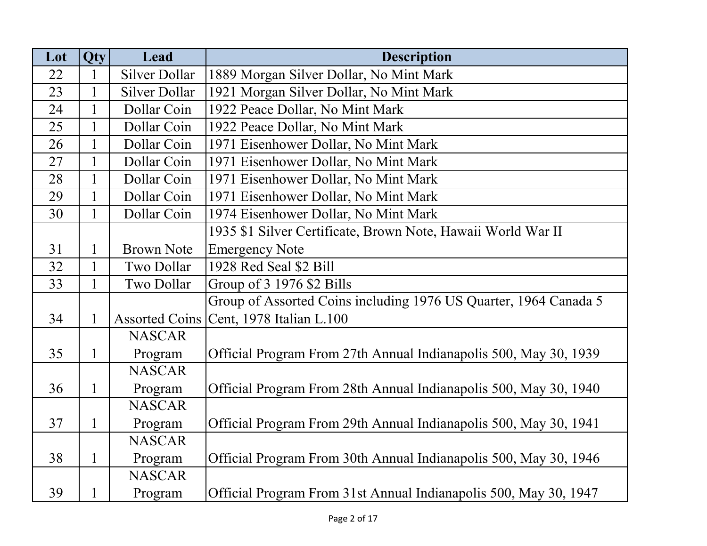| Lot | <b>Qty</b>   | Lead              | <b>Description</b>                                               |
|-----|--------------|-------------------|------------------------------------------------------------------|
| 22  |              | Silver Dollar     | 1889 Morgan Silver Dollar, No Mint Mark                          |
| 23  | 1            | Silver Dollar     | 1921 Morgan Silver Dollar, No Mint Mark                          |
| 24  | $\mathbf{1}$ | Dollar Coin       | 1922 Peace Dollar, No Mint Mark                                  |
| 25  |              | Dollar Coin       | 1922 Peace Dollar, No Mint Mark                                  |
| 26  | $\mathbf{1}$ | Dollar Coin       | 1971 Eisenhower Dollar, No Mint Mark                             |
| 27  | $\mathbf{1}$ | Dollar Coin       | 1971 Eisenhower Dollar, No Mint Mark                             |
| 28  | $\mathbf{1}$ | Dollar Coin       | 1971 Eisenhower Dollar, No Mint Mark                             |
| 29  | $\mathbf{1}$ | Dollar Coin       | 1971 Eisenhower Dollar, No Mint Mark                             |
| 30  | $\mathbf{1}$ | Dollar Coin       | 1974 Eisenhower Dollar, No Mint Mark                             |
|     |              |                   | 1935 \$1 Silver Certificate, Brown Note, Hawaii World War II     |
| 31  | 1            | <b>Brown Note</b> | <b>Emergency Note</b>                                            |
| 32  | $\mathbf{1}$ | Two Dollar        | 1928 Red Seal \$2 Bill                                           |
| 33  | $\mathbf{1}$ | Two Dollar        | Group of $3$ 1976 \$2 Bills                                      |
|     |              |                   | Group of Assorted Coins including 1976 US Quarter, 1964 Canada 5 |
| 34  | $\mathbf{1}$ |                   | Assorted Coins   Cent, 1978 Italian L.100                        |
|     |              | <b>NASCAR</b>     |                                                                  |
| 35  | $\mathbf{1}$ | Program           | Official Program From 27th Annual Indianapolis 500, May 30, 1939 |
|     |              | <b>NASCAR</b>     |                                                                  |
| 36  | $\mathbf{1}$ | Program           | Official Program From 28th Annual Indianapolis 500, May 30, 1940 |
|     |              | <b>NASCAR</b>     |                                                                  |
| 37  | $\mathbf{1}$ | Program           | Official Program From 29th Annual Indianapolis 500, May 30, 1941 |
|     |              | <b>NASCAR</b>     |                                                                  |
| 38  | $\mathbf{1}$ | Program           | Official Program From 30th Annual Indianapolis 500, May 30, 1946 |
|     |              | <b>NASCAR</b>     |                                                                  |
| 39  | $\mathbf{1}$ | Program           | Official Program From 31st Annual Indianapolis 500, May 30, 1947 |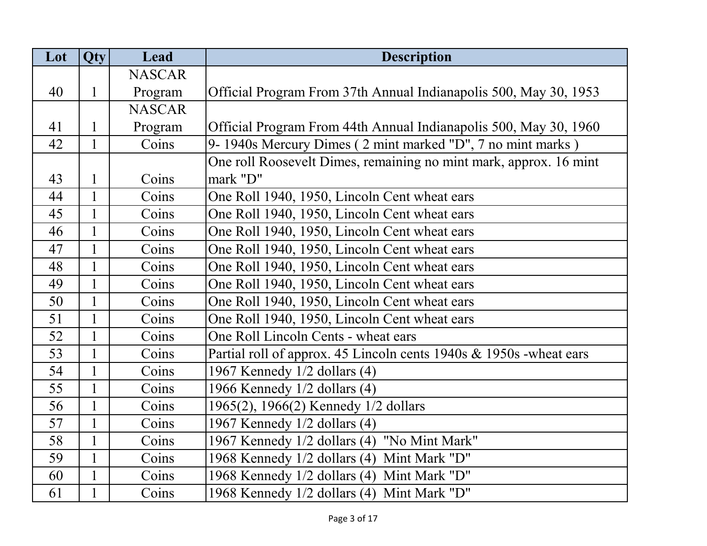| Lot | Qty          | Lead          | <b>Description</b>                                                 |
|-----|--------------|---------------|--------------------------------------------------------------------|
|     |              | <b>NASCAR</b> |                                                                    |
| 40  | $\mathbf{1}$ | Program       | Official Program From 37th Annual Indianapolis 500, May 30, 1953   |
|     |              | <b>NASCAR</b> |                                                                    |
| 41  | 1            | Program       | Official Program From 44th Annual Indianapolis 500, May 30, 1960   |
| 42  | $\mathbf{1}$ | Coins         | 9- 1940s Mercury Dimes (2 mint marked "D", 7 no mint marks)        |
|     |              |               | One roll Roosevelt Dimes, remaining no mint mark, approx. 16 mint  |
| 43  | $\mathbf{1}$ | Coins         | mark "D"                                                           |
| 44  | $\mathbf{1}$ | Coins         | One Roll 1940, 1950, Lincoln Cent wheat ears                       |
| 45  | $\mathbf{1}$ | Coins         | One Roll 1940, 1950, Lincoln Cent wheat ears                       |
| 46  | $\mathbf{1}$ | Coins         | One Roll 1940, 1950, Lincoln Cent wheat ears                       |
| 47  | $\mathbf{1}$ | Coins         | One Roll 1940, 1950, Lincoln Cent wheat ears                       |
| 48  | $\mathbf{1}$ | Coins         | One Roll 1940, 1950, Lincoln Cent wheat ears                       |
| 49  | $\mathbf{1}$ | Coins         | One Roll 1940, 1950, Lincoln Cent wheat ears                       |
| 50  | $\mathbf{1}$ | Coins         | One Roll 1940, 1950, Lincoln Cent wheat ears                       |
| 51  | $\mathbf{1}$ | Coins         | One Roll 1940, 1950, Lincoln Cent wheat ears                       |
| 52  | $\mathbf{1}$ | Coins         | One Roll Lincoln Cents - wheat ears                                |
| 53  | $\mathbf{1}$ | Coins         | Partial roll of approx. 45 Lincoln cents 1940s & 1950s -wheat ears |
| 54  | $\mathbf{1}$ | Coins         | 1967 Kennedy 1/2 dollars (4)                                       |
| 55  | $\mathbf{1}$ | Coins         | 1966 Kennedy 1/2 dollars (4)                                       |
| 56  | $\mathbf{1}$ | Coins         | 1965(2), 1966(2) Kennedy 1/2 dollars                               |
| 57  | $\mathbf{1}$ | Coins         | 1967 Kennedy 1/2 dollars (4)                                       |
| 58  | $\mathbf{1}$ | Coins         | 1967 Kennedy 1/2 dollars (4) "No Mint Mark"                        |
| 59  | $\mathbf{1}$ | Coins         | 1968 Kennedy 1/2 dollars (4) Mint Mark "D"                         |
| 60  | $\mathbf{1}$ | Coins         | 1968 Kennedy 1/2 dollars (4)<br>Mint Mark "D"                      |
| 61  | $\mathbf{1}$ | Coins         | 1968 Kennedy 1/2 dollars (4)<br>Mint Mark "D"                      |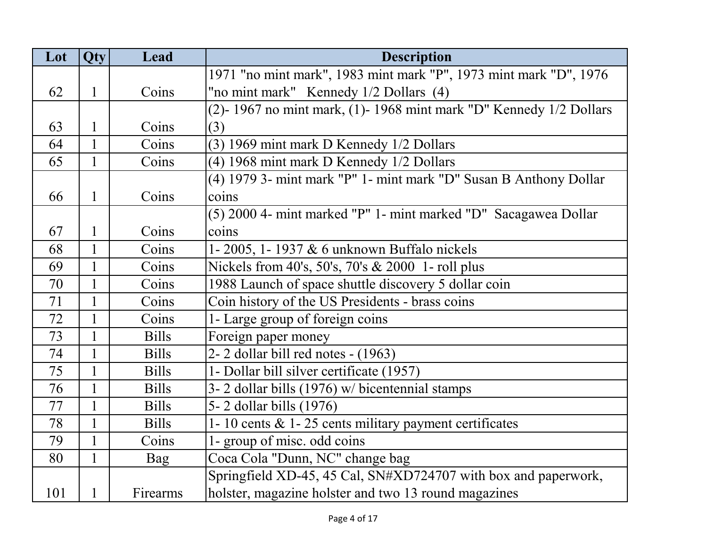| Lot | Qty          | Lead         | <b>Description</b>                                                  |
|-----|--------------|--------------|---------------------------------------------------------------------|
|     |              |              | 1971 "no mint mark", 1983 mint mark "P", 1973 mint mark "D", 1976   |
| 62  | 1            | Coins        | "no mint mark" Kennedy 1/2 Dollars (4)                              |
|     |              |              | (2)-1967 no mint mark, (1)-1968 mint mark "D" Kennedy $1/2$ Dollars |
| 63  | 1            | Coins        | (3)                                                                 |
| 64  | $\mathbf{1}$ | Coins        | (3) 1969 mint mark D Kennedy 1/2 Dollars                            |
| 65  | $\mathbf{1}$ | Coins        | (4) 1968 mint mark D Kennedy 1/2 Dollars                            |
|     |              |              | (4) 1979 3- mint mark "P" 1- mint mark "D" Susan B Anthony Dollar   |
| 66  | 1            | Coins        | coins                                                               |
|     |              |              | (5) 2000 4- mint marked "P" 1- mint marked "D" Sacagawea Dollar     |
| 67  | 1            | Coins        | coins                                                               |
| 68  | 1            | Coins        | 1-2005, 1-1937 & 6 unknown Buffalo nickels                          |
| 69  | $\mathbf{1}$ | Coins        | Nickels from 40's, 50's, 70's & 2000 1- roll plus                   |
| 70  | 1            | Coins        | 1988 Launch of space shuttle discovery 5 dollar coin                |
| 71  | $\mathbf{1}$ | Coins        | Coin history of the US Presidents - brass coins                     |
| 72  | 1            | Coins        | 1- Large group of foreign coins                                     |
| 73  |              | <b>Bills</b> | Foreign paper money                                                 |
| 74  | $\mathbf{1}$ | <b>Bills</b> | 2-2 dollar bill red notes - (1963)                                  |
| 75  | $\mathbf{1}$ | <b>Bills</b> | 1- Dollar bill silver certificate (1957)                            |
| 76  | $\mathbf{1}$ | <b>Bills</b> | 3-2 dollar bills (1976) w/ bicentennial stamps                      |
| 77  | $\mathbf{1}$ | <b>Bills</b> | 5-2 dollar bills (1976)                                             |
| 78  | $\mathbf{1}$ | <b>Bills</b> | 1-10 cents $&$ 1-25 cents military payment certificates             |
| 79  | $\mathbf{1}$ | Coins        | 1- group of misc. odd coins                                         |
| 80  | 1            | Bag          | Coca Cola "Dunn, NC" change bag                                     |
|     |              |              | Springfield XD-45, 45 Cal, SN#XD724707 with box and paperwork,      |
| 101 | 1            | Firearms     | holster, magazine holster and two 13 round magazines                |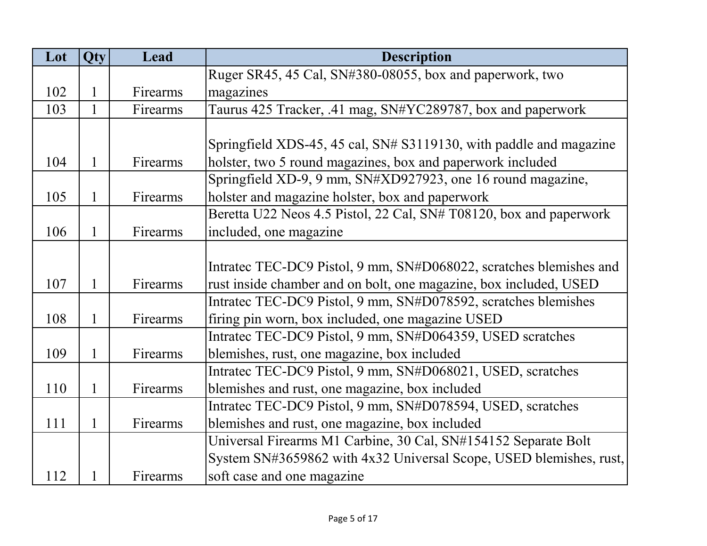| Lot | Qty          | Lead     | <b>Description</b>                                                 |
|-----|--------------|----------|--------------------------------------------------------------------|
|     |              |          | Ruger SR45, 45 Cal, SN#380-08055, box and paperwork, two           |
| 102 | 1            | Firearms | magazines                                                          |
| 103 | 1            | Firearms | Taurus 425 Tracker, .41 mag, SN#YC289787, box and paperwork        |
|     |              |          |                                                                    |
|     |              |          | Springfield XDS-45, 45 cal, SN# S3119130, with paddle and magazine |
| 104 | 1            | Firearms | holster, two 5 round magazines, box and paperwork included         |
|     |              |          | Springfield XD-9, 9 mm, SN#XD927923, one 16 round magazine,        |
| 105 | 1            | Firearms | holster and magazine holster, box and paperwork                    |
|     |              |          | Beretta U22 Neos 4.5 Pistol, 22 Cal, SN# T08120, box and paperwork |
| 106 | 1            | Firearms | included, one magazine                                             |
|     |              |          |                                                                    |
|     |              |          | Intratec TEC-DC9 Pistol, 9 mm, SN#D068022, scratches blemishes and |
| 107 | 1            | Firearms | rust inside chamber and on bolt, one magazine, box included, USED  |
|     |              |          | Intratec TEC-DC9 Pistol, 9 mm, SN#D078592, scratches blemishes     |
| 108 | 1            | Firearms | firing pin worn, box included, one magazine USED                   |
|     |              |          | Intratec TEC-DC9 Pistol, 9 mm, SN#D064359, USED scratches          |
| 109 | 1            | Firearms | blemishes, rust, one magazine, box included                        |
|     |              |          | Intratec TEC-DC9 Pistol, 9 mm, SN#D068021, USED, scratches         |
| 110 | 1            | Firearms | blemishes and rust, one magazine, box included                     |
|     |              |          | Intratec TEC-DC9 Pistol, 9 mm, SN#D078594, USED, scratches         |
| 111 | $\mathbf{1}$ | Firearms | blemishes and rust, one magazine, box included                     |
|     |              |          | Universal Firearms M1 Carbine, 30 Cal, SN#154152 Separate Bolt     |
|     |              |          | System SN#3659862 with 4x32 Universal Scope, USED blemishes, rust, |
| 112 |              | Firearms | soft case and one magazine                                         |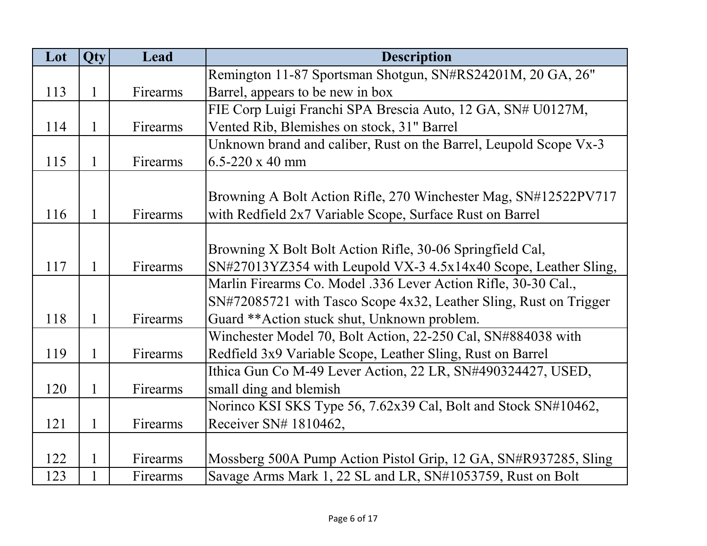| Lot | Qty          | Lead     | <b>Description</b>                                                |
|-----|--------------|----------|-------------------------------------------------------------------|
|     |              |          | Remington 11-87 Sportsman Shotgun, SN#RS24201M, 20 GA, 26"        |
| 113 | 1            | Firearms | Barrel, appears to be new in box                                  |
|     |              |          | FIE Corp Luigi Franchi SPA Brescia Auto, 12 GA, SN# U0127M,       |
| 114 | 1            | Firearms | Vented Rib, Blemishes on stock, 31" Barrel                        |
|     |              |          | Unknown brand and caliber, Rust on the Barrel, Leupold Scope Vx-3 |
| 115 | 1            | Firearms | $6.5 - 220 \times 40$ mm                                          |
|     |              |          |                                                                   |
|     |              |          | Browning A Bolt Action Rifle, 270 Winchester Mag, SN#12522PV717   |
| 116 | 1            | Firearms | with Redfield 2x7 Variable Scope, Surface Rust on Barrel          |
|     |              |          |                                                                   |
|     |              |          | Browning X Bolt Bolt Action Rifle, 30-06 Springfield Cal,         |
| 117 | 1            | Firearms | SN#27013YZ354 with Leupold VX-3 4.5x14x40 Scope, Leather Sling,   |
|     |              |          | Marlin Firearms Co. Model .336 Lever Action Rifle, 30-30 Cal.,    |
|     |              |          | SN#72085721 with Tasco Scope 4x32, Leather Sling, Rust on Trigger |
| 118 | 1            | Firearms | Guard ** Action stuck shut, Unknown problem.                      |
|     |              |          | Winchester Model 70, Bolt Action, 22-250 Cal, SN#884038 with      |
| 119 | 1            | Firearms | Redfield 3x9 Variable Scope, Leather Sling, Rust on Barrel        |
|     |              |          | Ithica Gun Co M-49 Lever Action, 22 LR, SN#490324427, USED,       |
| 120 | 1            | Firearms | small ding and blemish                                            |
|     |              |          | Norinco KSI SKS Type 56, 7.62x39 Cal, Bolt and Stock SN#10462,    |
| 121 | $\mathbf{1}$ | Firearms | Receiver SN# 1810462,                                             |
|     |              |          |                                                                   |
| 122 | 1            | Firearms | Mossberg 500A Pump Action Pistol Grip, 12 GA, SN#R937285, Sling   |
| 123 |              | Firearms | Savage Arms Mark 1, 22 SL and LR, SN#1053759, Rust on Bolt        |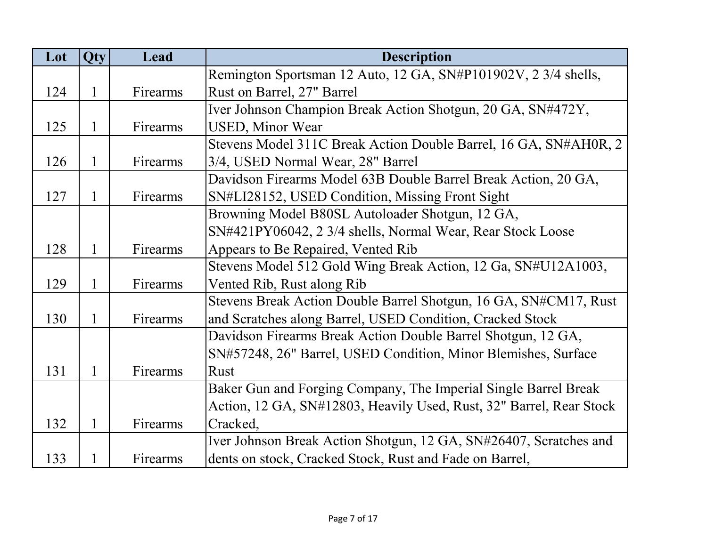| Lot | <b>Qty</b>   | Lead     | <b>Description</b>                                                  |
|-----|--------------|----------|---------------------------------------------------------------------|
|     |              |          | Remington Sportsman 12 Auto, 12 GA, SN#P101902V, 2 3/4 shells,      |
| 124 | $\mathbf 1$  | Firearms | Rust on Barrel, 27" Barrel                                          |
|     |              |          | Iver Johnson Champion Break Action Shotgun, 20 GA, SN#472Y,         |
| 125 | 1            | Firearms | <b>USED, Minor Wear</b>                                             |
|     |              |          | Stevens Model 311C Break Action Double Barrel, 16 GA, SN#AH0R, 2    |
| 126 | 1            | Firearms | 3/4, USED Normal Wear, 28" Barrel                                   |
|     |              |          | Davidson Firearms Model 63B Double Barrel Break Action, 20 GA,      |
| 127 | 1            | Firearms | SN#LI28152, USED Condition, Missing Front Sight                     |
|     |              |          | Browning Model B80SL Autoloader Shotgun, 12 GA,                     |
|     |              |          | SN#421PY06042, 2 3/4 shells, Normal Wear, Rear Stock Loose          |
| 128 | $\mathbf{1}$ | Firearms | Appears to Be Repaired, Vented Rib                                  |
|     |              |          | Stevens Model 512 Gold Wing Break Action, 12 Ga, SN#U12A1003,       |
| 129 | $\mathbf{1}$ | Firearms | Vented Rib, Rust along Rib                                          |
|     |              |          | Stevens Break Action Double Barrel Shotgun, 16 GA, SN#CM17, Rust    |
| 130 | 1            | Firearms | and Scratches along Barrel, USED Condition, Cracked Stock           |
|     |              |          | Davidson Firearms Break Action Double Barrel Shotgun, 12 GA,        |
|     |              |          | SN#57248, 26" Barrel, USED Condition, Minor Blemishes, Surface      |
| 131 | 1            | Firearms | <b>Rust</b>                                                         |
|     |              |          | Baker Gun and Forging Company, The Imperial Single Barrel Break     |
|     |              |          | Action, 12 GA, SN#12803, Heavily Used, Rust, 32" Barrel, Rear Stock |
| 132 | 1            | Firearms | Cracked,                                                            |
|     |              |          | Iver Johnson Break Action Shotgun, 12 GA, SN#26407, Scratches and   |
| 133 |              | Firearms | dents on stock, Cracked Stock, Rust and Fade on Barrel,             |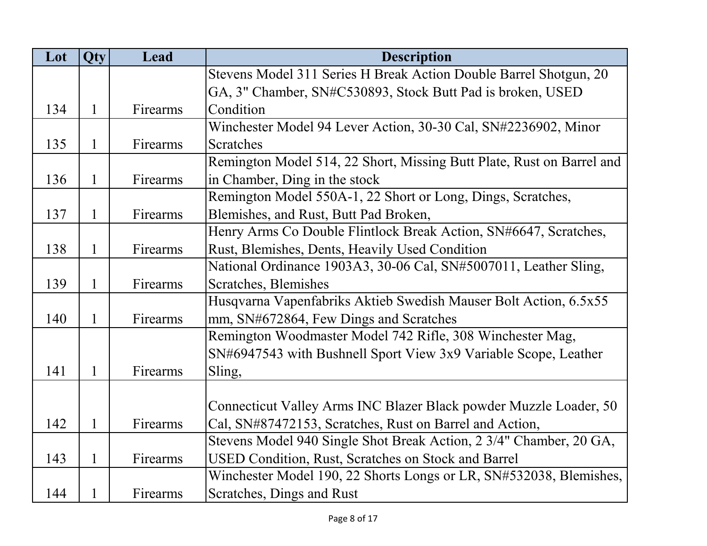| Lot | Qty          | Lead     | <b>Description</b>                                                    |
|-----|--------------|----------|-----------------------------------------------------------------------|
|     |              |          | Stevens Model 311 Series H Break Action Double Barrel Shotgun, 20     |
|     |              |          | GA, 3" Chamber, SN#C530893, Stock Butt Pad is broken, USED            |
| 134 | $\mathbf{1}$ | Firearms | Condition                                                             |
|     |              |          | Winchester Model 94 Lever Action, 30-30 Cal, SN#2236902, Minor        |
| 135 | $\mathbf{1}$ | Firearms | Scratches                                                             |
|     |              |          | Remington Model 514, 22 Short, Missing Butt Plate, Rust on Barrel and |
| 136 | $\mathbf{1}$ | Firearms | in Chamber, Ding in the stock                                         |
|     |              |          | Remington Model 550A-1, 22 Short or Long, Dings, Scratches,           |
| 137 | $\mathbf{1}$ | Firearms | Blemishes, and Rust, Butt Pad Broken,                                 |
|     |              |          | Henry Arms Co Double Flintlock Break Action, SN#6647, Scratches,      |
| 138 | $\mathbf{1}$ | Firearms | Rust, Blemishes, Dents, Heavily Used Condition                        |
|     |              |          | National Ordinance 1903A3, 30-06 Cal, SN#5007011, Leather Sling,      |
| 139 | $\mathbf{1}$ | Firearms | Scratches, Blemishes                                                  |
|     |              |          | Husqvarna Vapenfabriks Aktieb Swedish Mauser Bolt Action, 6.5x55      |
| 140 | $\mathbf{1}$ | Firearms | mm, SN#672864, Few Dings and Scratches                                |
|     |              |          | Remington Woodmaster Model 742 Rifle, 308 Winchester Mag,             |
|     |              |          | SN#6947543 with Bushnell Sport View 3x9 Variable Scope, Leather       |
| 141 | 1            | Firearms | Sling,                                                                |
|     |              |          |                                                                       |
|     |              |          | Connecticut Valley Arms INC Blazer Black powder Muzzle Loader, 50     |
| 142 | $\mathbf{1}$ | Firearms | Cal, SN#87472153, Scratches, Rust on Barrel and Action,               |
|     |              |          | Stevens Model 940 Single Shot Break Action, 2 3/4" Chamber, 20 GA,    |
| 143 | $\mathbf{1}$ | Firearms | USED Condition, Rust, Scratches on Stock and Barrel                   |
|     |              |          | Winchester Model 190, 22 Shorts Longs or LR, SN#532038, Blemishes,    |
| 144 | $\mathbf{1}$ | Firearms | Scratches, Dings and Rust                                             |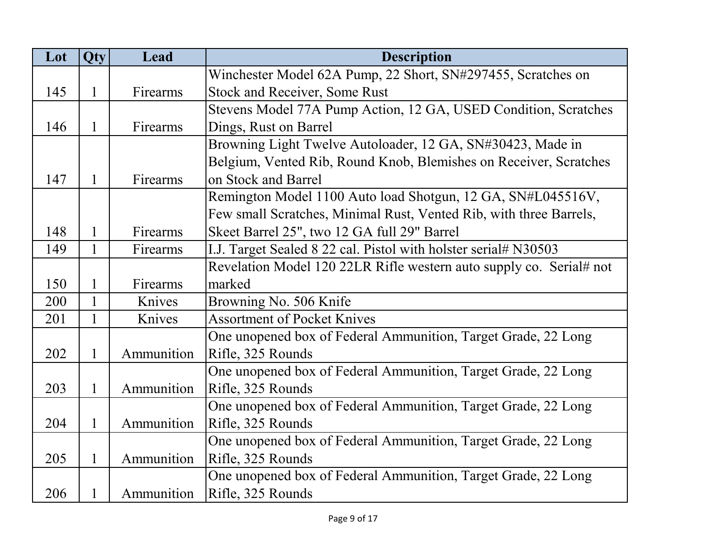| Lot | Qty          | Lead       | <b>Description</b>                                                  |
|-----|--------------|------------|---------------------------------------------------------------------|
|     |              |            | Winchester Model 62A Pump, 22 Short, SN#297455, Scratches on        |
| 145 | $\mathbf{1}$ | Firearms   | <b>Stock and Receiver, Some Rust</b>                                |
|     |              |            | Stevens Model 77A Pump Action, 12 GA, USED Condition, Scratches     |
| 146 | 1            | Firearms   | Dings, Rust on Barrel                                               |
|     |              |            | Browning Light Twelve Autoloader, 12 GA, SN#30423, Made in          |
|     |              |            | Belgium, Vented Rib, Round Knob, Blemishes on Receiver, Scratches   |
| 147 | 1            | Firearms   | on Stock and Barrel                                                 |
|     |              |            | Remington Model 1100 Auto load Shotgun, 12 GA, SN#L045516V,         |
|     |              |            | Few small Scratches, Minimal Rust, Vented Rib, with three Barrels,  |
| 148 | 1            | Firearms   | Skeet Barrel 25", two 12 GA full 29" Barrel                         |
| 149 | 1            | Firearms   | I.J. Target Sealed 8 22 cal. Pistol with holster serial# N30503     |
|     |              |            | Revelation Model 120 22LR Rifle western auto supply co. Serial# not |
| 150 | $\mathbf{1}$ | Firearms   | marked                                                              |
| 200 | $\mathbf{1}$ | Knives     | Browning No. 506 Knife                                              |
| 201 |              | Knives     | <b>Assortment of Pocket Knives</b>                                  |
|     |              |            | One unopened box of Federal Ammunition, Target Grade, 22 Long       |
| 202 | $\mathbf{1}$ | Ammunition | Rifle, 325 Rounds                                                   |
|     |              |            | One unopened box of Federal Ammunition, Target Grade, 22 Long       |
| 203 | $\mathbf{1}$ | Ammunition | Rifle, 325 Rounds                                                   |
|     |              |            | One unopened box of Federal Ammunition, Target Grade, 22 Long       |
| 204 | $\mathbf{1}$ | Ammunition | Rifle, 325 Rounds                                                   |
|     |              |            | One unopened box of Federal Ammunition, Target Grade, 22 Long       |
| 205 | $\mathbf{1}$ | Ammunition | Rifle, 325 Rounds                                                   |
|     |              |            | One unopened box of Federal Ammunition, Target Grade, 22 Long       |
| 206 |              | Ammunition | Rifle, 325 Rounds                                                   |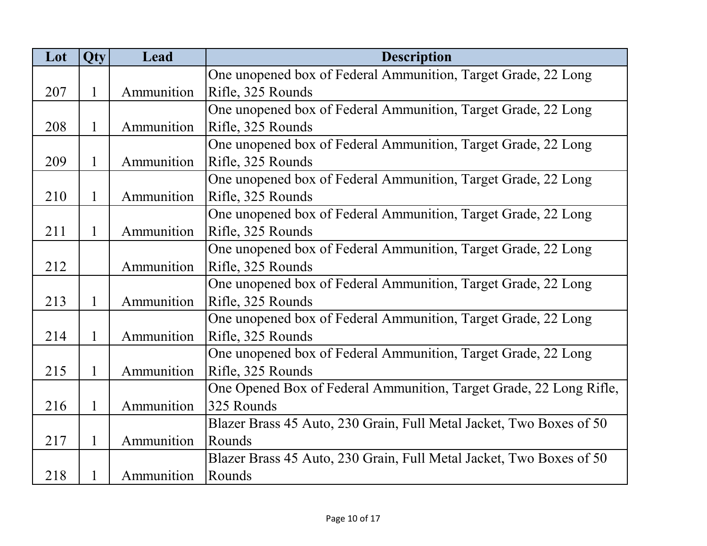| Lot | Qty         | Lead       | <b>Description</b>                                                  |
|-----|-------------|------------|---------------------------------------------------------------------|
|     |             |            | One unopened box of Federal Ammunition, Target Grade, 22 Long       |
| 207 | 1           | Ammunition | Rifle, 325 Rounds                                                   |
|     |             |            | One unopened box of Federal Ammunition, Target Grade, 22 Long       |
| 208 | 1           | Ammunition | Rifle, 325 Rounds                                                   |
|     |             |            | One unopened box of Federal Ammunition, Target Grade, 22 Long       |
| 209 | 1           | Ammunition | Rifle, 325 Rounds                                                   |
|     |             |            | One unopened box of Federal Ammunition, Target Grade, 22 Long       |
| 210 | 1           | Ammunition | Rifle, 325 Rounds                                                   |
|     |             |            | One unopened box of Federal Ammunition, Target Grade, 22 Long       |
| 211 | 1           | Ammunition | Rifle, 325 Rounds                                                   |
|     |             |            | One unopened box of Federal Ammunition, Target Grade, 22 Long       |
| 212 |             | Ammunition | Rifle, 325 Rounds                                                   |
|     |             |            | One unopened box of Federal Ammunition, Target Grade, 22 Long       |
| 213 | 1           | Ammunition | Rifle, 325 Rounds                                                   |
|     |             |            | One unopened box of Federal Ammunition, Target Grade, 22 Long       |
| 214 | $\mathbf 1$ | Ammunition | Rifle, 325 Rounds                                                   |
|     |             |            | One unopened box of Federal Ammunition, Target Grade, 22 Long       |
| 215 | $\mathbf 1$ | Ammunition | Rifle, 325 Rounds                                                   |
|     |             |            | One Opened Box of Federal Ammunition, Target Grade, 22 Long Rifle,  |
| 216 | 1           | Ammunition | 325 Rounds                                                          |
|     |             |            | Blazer Brass 45 Auto, 230 Grain, Full Metal Jacket, Two Boxes of 50 |
| 217 | $\mathbf 1$ | Ammunition | Rounds                                                              |
|     |             |            | Blazer Brass 45 Auto, 230 Grain, Full Metal Jacket, Two Boxes of 50 |
| 218 | 1           | Ammunition | Rounds                                                              |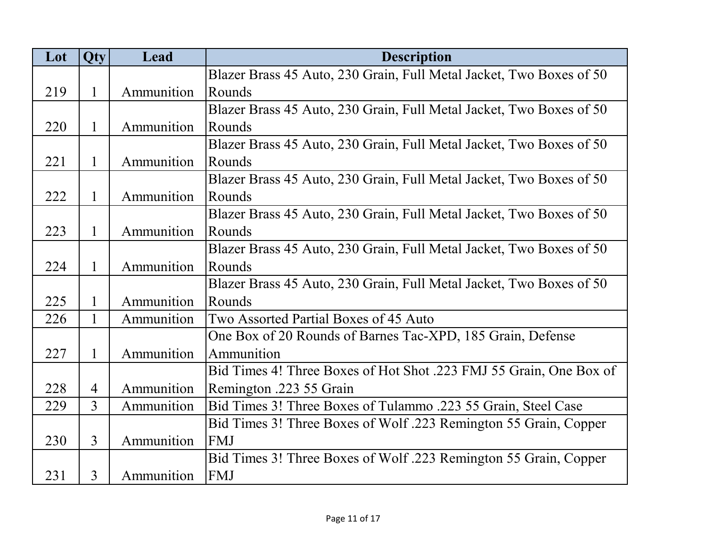| Lot | Qty            | Lead       | <b>Description</b>                                                  |
|-----|----------------|------------|---------------------------------------------------------------------|
|     |                |            | Blazer Brass 45 Auto, 230 Grain, Full Metal Jacket, Two Boxes of 50 |
| 219 | $\mathbf{1}$   | Ammunition | Rounds                                                              |
|     |                |            | Blazer Brass 45 Auto, 230 Grain, Full Metal Jacket, Two Boxes of 50 |
| 220 | $\mathbf{1}$   | Ammunition | Rounds                                                              |
|     |                |            | Blazer Brass 45 Auto, 230 Grain, Full Metal Jacket, Two Boxes of 50 |
| 221 | 1              | Ammunition | Rounds                                                              |
|     |                |            | Blazer Brass 45 Auto, 230 Grain, Full Metal Jacket, Two Boxes of 50 |
| 222 | 1              | Ammunition | Rounds                                                              |
|     |                |            | Blazer Brass 45 Auto, 230 Grain, Full Metal Jacket, Two Boxes of 50 |
| 223 | 1              | Ammunition | Rounds                                                              |
|     |                |            | Blazer Brass 45 Auto, 230 Grain, Full Metal Jacket, Two Boxes of 50 |
| 224 | $\mathbf{1}$   | Ammunition | Rounds                                                              |
|     |                |            | Blazer Brass 45 Auto, 230 Grain, Full Metal Jacket, Two Boxes of 50 |
| 225 | $\mathbf{1}$   | Ammunition | Rounds                                                              |
| 226 | $\mathbf{1}$   | Ammunition | Two Assorted Partial Boxes of 45 Auto                               |
|     |                |            | One Box of 20 Rounds of Barnes Tac-XPD, 185 Grain, Defense          |
| 227 | $\mathbf{1}$   | Ammunition | Ammunition                                                          |
|     |                |            | Bid Times 4! Three Boxes of Hot Shot .223 FMJ 55 Grain, One Box of  |
| 228 | $\overline{4}$ | Ammunition | Remington .223 55 Grain                                             |
| 229 | $\overline{3}$ | Ammunition | Bid Times 3! Three Boxes of Tulammo .223 55 Grain, Steel Case       |
|     |                |            | Bid Times 3! Three Boxes of Wolf .223 Remington 55 Grain, Copper    |
| 230 | $\overline{3}$ | Ammunition | FMJ                                                                 |
|     |                |            | Bid Times 3! Three Boxes of Wolf .223 Remington 55 Grain, Copper    |
| 231 | $\overline{3}$ | Ammunition | FMJ                                                                 |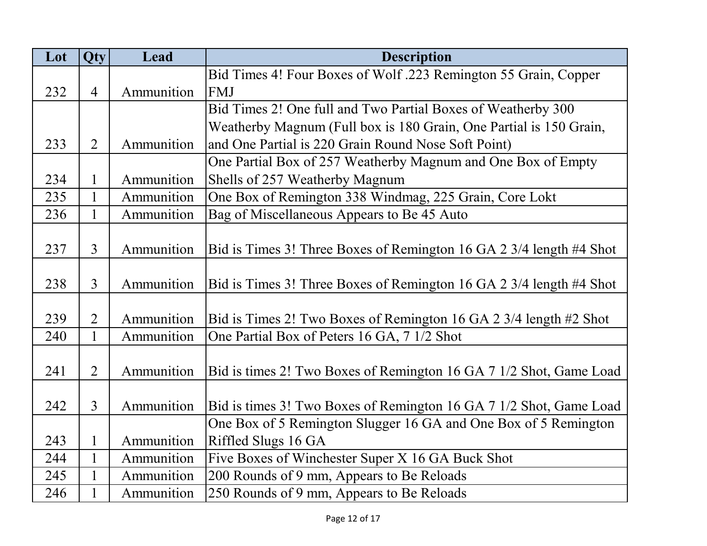| Lot | Qty            | Lead       | <b>Description</b>                                                  |
|-----|----------------|------------|---------------------------------------------------------------------|
|     |                |            | Bid Times 4! Four Boxes of Wolf .223 Remington 55 Grain, Copper     |
| 232 | $\overline{4}$ | Ammunition | FMJ                                                                 |
|     |                |            | Bid Times 2! One full and Two Partial Boxes of Weatherby 300        |
|     |                |            | Weatherby Magnum (Full box is 180 Grain, One Partial is 150 Grain,  |
| 233 | $\overline{2}$ | Ammunition | and One Partial is 220 Grain Round Nose Soft Point)                 |
|     |                |            | One Partial Box of 257 Weatherby Magnum and One Box of Empty        |
| 234 |                | Ammunition | Shells of 257 Weatherby Magnum                                      |
| 235 | $\mathbf{1}$   | Ammunition | One Box of Remington 338 Windmag, 225 Grain, Core Lokt              |
| 236 | 1              | Ammunition | Bag of Miscellaneous Appears to Be 45 Auto                          |
|     |                |            |                                                                     |
| 237 | $\overline{3}$ | Ammunition | Bid is Times 3! Three Boxes of Remington 16 GA 2 3/4 length #4 Shot |
|     |                |            |                                                                     |
| 238 | $\overline{3}$ | Ammunition | Bid is Times 3! Three Boxes of Remington 16 GA 2 3/4 length #4 Shot |
|     |                |            |                                                                     |
| 239 | $\overline{2}$ | Ammunition | Bid is Times 2! Two Boxes of Remington 16 GA 2 3/4 length #2 Shot   |
| 240 | $\mathbf{1}$   | Ammunition | One Partial Box of Peters 16 GA, 7 1/2 Shot                         |
|     |                |            |                                                                     |
| 241 | $\overline{2}$ | Ammunition | Bid is times 2! Two Boxes of Remington 16 GA 7 1/2 Shot, Game Load  |
|     |                |            |                                                                     |
| 242 | $\overline{3}$ | Ammunition | Bid is times 3! Two Boxes of Remington 16 GA 7 1/2 Shot, Game Load  |
|     |                |            | One Box of 5 Remington Slugger 16 GA and One Box of 5 Remington     |
| 243 | 1              | Ammunition | Riffled Slugs 16 GA                                                 |
| 244 | $\mathbf{1}$   | Ammunition | Five Boxes of Winchester Super X 16 GA Buck Shot                    |
| 245 | $\mathbf{1}$   | Ammunition | 200 Rounds of 9 mm, Appears to Be Reloads                           |
| 246 |                | Ammunition | 250 Rounds of 9 mm, Appears to Be Reloads                           |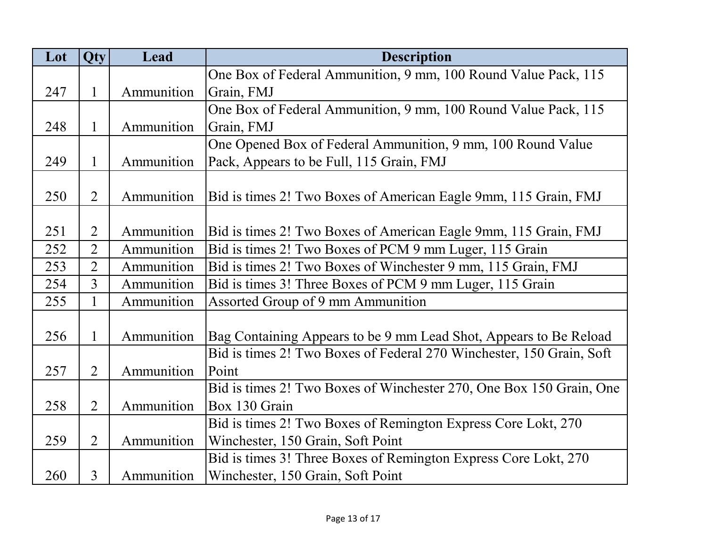| Lot | Qty            | Lead       | <b>Description</b>                                                   |
|-----|----------------|------------|----------------------------------------------------------------------|
|     |                |            | One Box of Federal Ammunition, 9 mm, 100 Round Value Pack, 115       |
| 247 | $\mathbf{1}$   | Ammunition | Grain, FMJ                                                           |
|     |                |            | One Box of Federal Ammunition, 9 mm, 100 Round Value Pack, 115       |
| 248 | 1              | Ammunition | Grain, FMJ                                                           |
|     |                |            | One Opened Box of Federal Ammunition, 9 mm, 100 Round Value          |
| 249 | 1              | Ammunition | Pack, Appears to be Full, 115 Grain, FMJ                             |
|     |                |            |                                                                      |
| 250 | $\overline{2}$ | Ammunition | Bid is times 2! Two Boxes of American Eagle 9mm, 115 Grain, FMJ      |
|     |                |            |                                                                      |
| 251 | $\overline{2}$ | Ammunition | Bid is times 2! Two Boxes of American Eagle 9mm, 115 Grain, FMJ      |
| 252 | $\overline{2}$ | Ammunition | Bid is times 2! Two Boxes of PCM 9 mm Luger, 115 Grain               |
| 253 | $\overline{2}$ | Ammunition | Bid is times 2! Two Boxes of Winchester 9 mm, 115 Grain, FMJ         |
| 254 | $\overline{3}$ | Ammunition | Bid is times 3! Three Boxes of PCM 9 mm Luger, 115 Grain             |
| 255 | $\mathbf{1}$   | Ammunition | Assorted Group of 9 mm Ammunition                                    |
| 256 | 1              | Ammunition | Bag Containing Appears to be 9 mm Lead Shot, Appears to Be Reload    |
|     |                |            | Bid is times 2! Two Boxes of Federal 270 Winchester, 150 Grain, Soft |
| 257 | $\overline{2}$ | Ammunition | Point                                                                |
|     |                |            | Bid is times 2! Two Boxes of Winchester 270, One Box 150 Grain, One  |
| 258 | $\overline{2}$ | Ammunition | Box 130 Grain                                                        |
|     |                |            | Bid is times 2! Two Boxes of Remington Express Core Lokt, 270        |
| 259 | $\overline{2}$ | Ammunition | Winchester, 150 Grain, Soft Point                                    |
|     |                |            | Bid is times 3! Three Boxes of Remington Express Core Lokt, 270      |
| 260 | 3              | Ammunition | Winchester, 150 Grain, Soft Point                                    |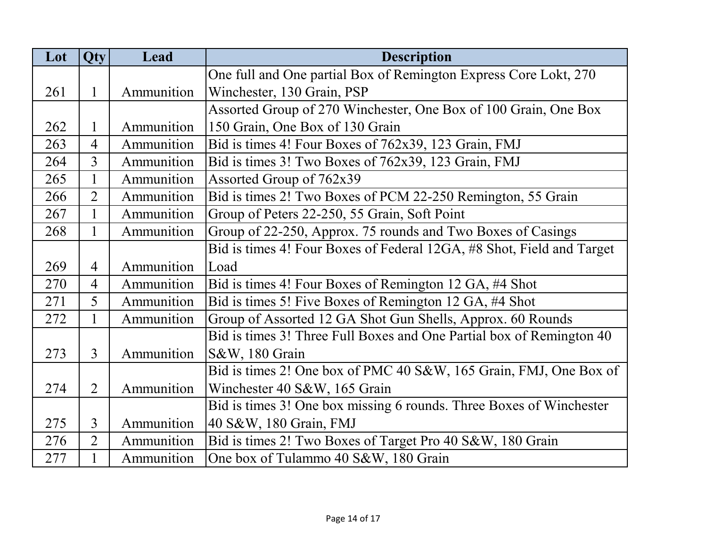| Lot | <b>Qty</b>     | Lead       | <b>Description</b>                                                    |
|-----|----------------|------------|-----------------------------------------------------------------------|
|     |                |            | One full and One partial Box of Remington Express Core Lokt, 270      |
| 261 | 1              | Ammunition | Winchester, 130 Grain, PSP                                            |
|     |                |            | Assorted Group of 270 Winchester, One Box of 100 Grain, One Box       |
| 262 | $\mathbf{1}$   | Ammunition | 150 Grain, One Box of 130 Grain                                       |
| 263 | $\overline{4}$ | Ammunition | Bid is times 4! Four Boxes of 762x39, 123 Grain, FMJ                  |
| 264 | $\overline{3}$ | Ammunition | Bid is times 3! Two Boxes of 762x39, 123 Grain, FMJ                   |
| 265 | $\mathbf{1}$   | Ammunition | Assorted Group of 762x39                                              |
| 266 | $\overline{2}$ | Ammunition | Bid is times 2! Two Boxes of PCM 22-250 Remington, 55 Grain           |
| 267 | $\mathbf{1}$   | Ammunition | Group of Peters 22-250, 55 Grain, Soft Point                          |
| 268 | 1              | Ammunition | Group of 22-250, Approx. 75 rounds and Two Boxes of Casings           |
|     |                |            | Bid is times 4! Four Boxes of Federal 12GA, #8 Shot, Field and Target |
| 269 | 4              | Ammunition | Load                                                                  |
| 270 | $\overline{4}$ | Ammunition | Bid is times 4! Four Boxes of Remington 12 GA, #4 Shot                |
| 271 | 5              | Ammunition | Bid is times 5! Five Boxes of Remington 12 GA, #4 Shot                |
| 272 |                | Ammunition | Group of Assorted 12 GA Shot Gun Shells, Approx. 60 Rounds            |
|     |                |            | Bid is times 3! Three Full Boxes and One Partial box of Remington 40  |
| 273 | $\overline{3}$ | Ammunition | S&W, 180 Grain                                                        |
|     |                |            | Bid is times 2! One box of PMC 40 S&W, 165 Grain, FMJ, One Box of     |
| 274 | $\overline{2}$ | Ammunition | Winchester 40 S&W, 165 Grain                                          |
|     |                |            | Bid is times 3! One box missing 6 rounds. Three Boxes of Winchester   |
| 275 | 3              | Ammunition | 40 S&W, 180 Grain, FMJ                                                |
| 276 | $\overline{2}$ | Ammunition | Bid is times 2! Two Boxes of Target Pro 40 S&W, 180 Grain             |
| 277 |                | Ammunition | One box of Tulammo 40 S&W, 180 Grain                                  |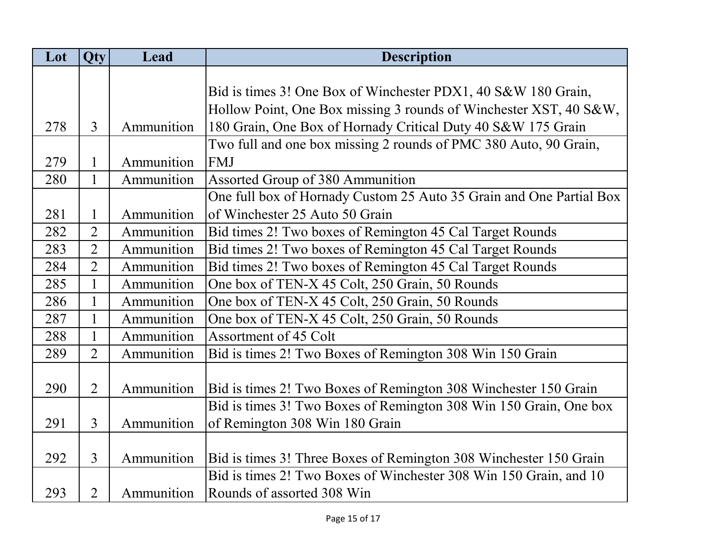| Lot | <b>Qty</b>     | Lead       | <b>Description</b>                                                  |
|-----|----------------|------------|---------------------------------------------------------------------|
|     |                |            |                                                                     |
|     |                |            | Bid is times 3! One Box of Winchester PDX1, 40 S&W 180 Grain,       |
|     |                |            | Hollow Point, One Box missing 3 rounds of Winchester XST, 40 S&W,   |
| 278 | $\overline{3}$ | Ammunition | 180 Grain, One Box of Hornady Critical Duty 40 S&W 175 Grain        |
|     |                |            | Two full and one box missing 2 rounds of PMC 380 Auto, 90 Grain,    |
| 279 | $\mathbf{1}$   | Ammunition | <b>FMJ</b>                                                          |
| 280 | $\mathbf{1}$   | Ammunition | Assorted Group of 380 Ammunition                                    |
|     |                |            | One full box of Hornady Custom 25 Auto 35 Grain and One Partial Box |
| 281 | $\mathbf{1}$   | Ammunition | of Winchester 25 Auto 50 Grain                                      |
| 282 | $\overline{2}$ | Ammunition | Bid times 2! Two boxes of Remington 45 Cal Target Rounds            |
| 283 | $\overline{2}$ | Ammunition | Bid times 2! Two boxes of Remington 45 Cal Target Rounds            |
| 284 | $\overline{2}$ | Ammunition | Bid times 2! Two boxes of Remington 45 Cal Target Rounds            |
| 285 | $\mathbf{1}$   | Ammunition | One box of TEN-X 45 Colt, 250 Grain, 50 Rounds                      |
| 286 | $\mathbf{1}$   | Ammunition | One box of TEN-X 45 Colt, 250 Grain, 50 Rounds                      |
| 287 | $\mathbf{1}$   | Ammunition | One box of TEN-X 45 Colt, 250 Grain, 50 Rounds                      |
| 288 | $\mathbf{1}$   | Ammunition | Assortment of 45 Colt                                               |
| 289 | $\overline{2}$ | Ammunition | Bid is times 2! Two Boxes of Remington 308 Win 150 Grain            |
|     |                |            |                                                                     |
| 290 | $\overline{2}$ | Ammunition | Bid is times 2! Two Boxes of Remington 308 Winchester 150 Grain     |
|     |                |            | Bid is times 3! Two Boxes of Remington 308 Win 150 Grain, One box   |
| 291 | $\overline{3}$ | Ammunition | of Remington 308 Win 180 Grain                                      |
|     |                |            |                                                                     |
| 292 | $\overline{3}$ | Ammunition | Bid is times 3! Three Boxes of Remington 308 Winchester 150 Grain   |
|     |                |            | Bid is times 2! Two Boxes of Winchester 308 Win 150 Grain, and 10   |
| 293 | $\overline{2}$ | Ammunition | Rounds of assorted 308 Win                                          |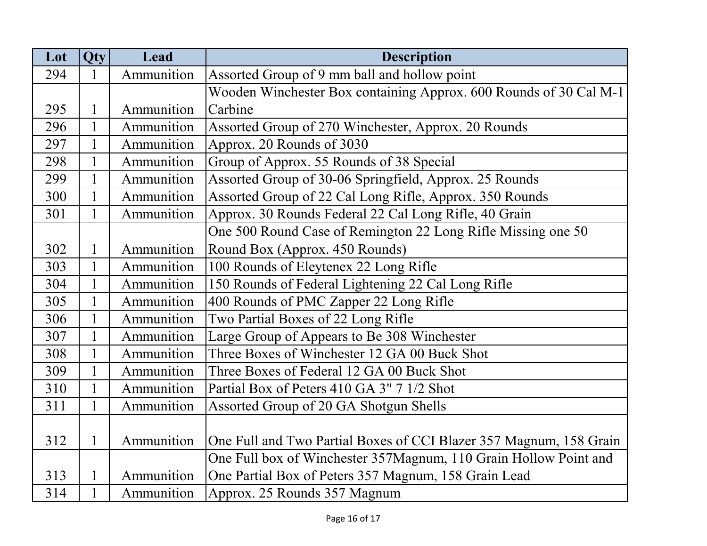| Lot | Qty          | Lead       | <b>Description</b>                                                 |
|-----|--------------|------------|--------------------------------------------------------------------|
| 294 | 1            | Ammunition | Assorted Group of 9 mm ball and hollow point                       |
|     |              |            | Wooden Winchester Box containing Approx. 600 Rounds of 30 Cal M-1  |
| 295 | $\mathbf{1}$ | Ammunition | Carbine                                                            |
| 296 | $\mathbf{1}$ | Ammunition | Assorted Group of 270 Winchester, Approx. 20 Rounds                |
| 297 | $\mathbf{1}$ | Ammunition | Approx. 20 Rounds of 3030                                          |
| 298 | $\mathbf{1}$ | Ammunition | Group of Approx. 55 Rounds of 38 Special                           |
| 299 | $\mathbf{1}$ | Ammunition | Assorted Group of 30-06 Springfield, Approx. 25 Rounds             |
| 300 | $\mathbf{1}$ | Ammunition | Assorted Group of 22 Cal Long Rifle, Approx. 350 Rounds            |
| 301 | 1            | Ammunition | Approx. 30 Rounds Federal 22 Cal Long Rifle, 40 Grain              |
|     |              |            | One 500 Round Case of Remington 22 Long Rifle Missing one 50       |
| 302 | $\mathbf{1}$ | Ammunition | Round Box (Approx. 450 Rounds)                                     |
| 303 | $\mathbf{1}$ | Ammunition | 100 Rounds of Eleytenex 22 Long Rifle                              |
| 304 | $\mathbf{1}$ | Ammunition | 150 Rounds of Federal Lightening 22 Cal Long Rifle                 |
| 305 | $\mathbf{1}$ | Ammunition | 400 Rounds of PMC Zapper 22 Long Rifle                             |
| 306 | $\mathbf{1}$ | Ammunition | Two Partial Boxes of 22 Long Rifle                                 |
| 307 | $\mathbf{1}$ | Ammunition | Large Group of Appears to Be 308 Winchester                        |
| 308 | 1            | Ammunition | Three Boxes of Winchester 12 GA 00 Buck Shot                       |
| 309 | $\mathbf{1}$ | Ammunition | Three Boxes of Federal 12 GA 00 Buck Shot                          |
| 310 | $\mathbf{1}$ | Ammunition | Partial Box of Peters 410 GA 3" 7 1/2 Shot                         |
| 311 |              | Ammunition | Assorted Group of 20 GA Shotgun Shells                             |
|     |              |            |                                                                    |
| 312 | $\mathbf{1}$ | Ammunition | One Full and Two Partial Boxes of CCI Blazer 357 Magnum, 158 Grain |
|     |              |            | One Full box of Winchester 357Magnum, 110 Grain Hollow Point and   |
| 313 | $\mathbf{1}$ | Ammunition | One Partial Box of Peters 357 Magnum, 158 Grain Lead               |
| 314 | $\mathbf{1}$ | Ammunition | Approx. 25 Rounds 357 Magnum                                       |